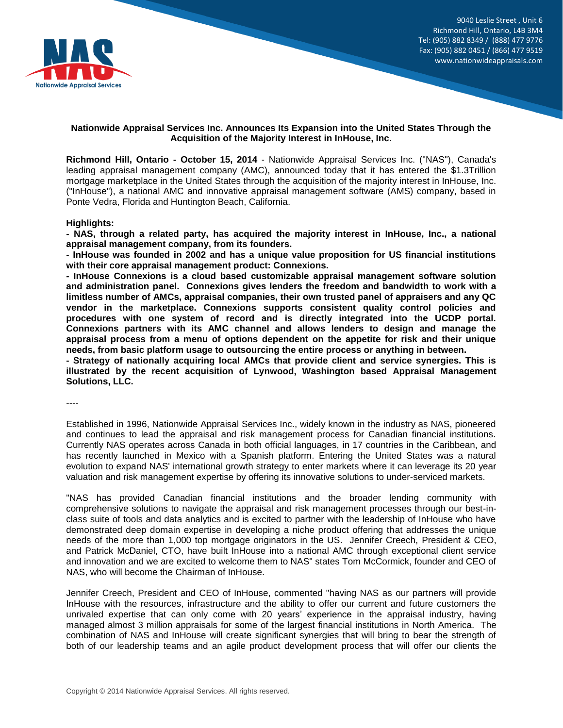

9040 Leslie Street , Unit 6 Richmond Hill, Ontario, L4B 3M4 Tel: (905) 882 8349 / (888) 477 9776 Fax: (905) 882 0451 / (866) 477 9519 www.nationwideappraisals.com

# **Nationwide Appraisal Services Inc. Announces Its Expansion into the United States Through the Acquisition of the Majority Interest in InHouse, Inc.**

**Richmond Hill, Ontario - October 15, 2014** - Nationwide Appraisal Services Inc. ("NAS"), Canada's leading appraisal management company (AMC), announced today that it has entered the \$1.3Trillion mortgage marketplace in the United States through the acquisition of the majority interest in InHouse, Inc. ("InHouse"), a national AMC and innovative appraisal management software (AMS) company, based in Ponte Vedra, Florida and Huntington Beach, California.

## **Highlights:**

**- NAS, through a related party, has acquired the majority interest in InHouse, Inc., a national appraisal management company, from its founders.**

**- InHouse was founded in 2002 and has a unique value proposition for US financial institutions with their core appraisal management product: Connexions.**

**- InHouse Connexions is a cloud based customizable appraisal management software solution and administration panel. Connexions gives lenders the freedom and bandwidth to work with a limitless number of AMCs, appraisal companies, their own trusted panel of appraisers and any QC vendor in the marketplace. Connexions supports consistent quality control policies and procedures with one system of record and is directly integrated into the UCDP portal. Connexions partners with its AMC channel and allows lenders to design and manage the appraisal process from a menu of options dependent on the appetite for risk and their unique needs, from basic platform usage to outsourcing the entire process or anything in between.**

**- Strategy of nationally acquiring local AMCs that provide client and service synergies. This is illustrated by the recent acquisition of Lynwood, Washington based Appraisal Management Solutions, LLC.**

----

Established in 1996, Nationwide Appraisal Services Inc., widely known in the industry as NAS, pioneered and continues to lead the appraisal and risk management process for Canadian financial institutions. Currently NAS operates across Canada in both official languages, in 17 countries in the Caribbean, and has recently launched in Mexico with a Spanish platform. Entering the United States was a natural evolution to expand NAS' international growth strategy to enter markets where it can leverage its 20 year valuation and risk management expertise by offering its innovative solutions to under-serviced markets.

"NAS has provided Canadian financial institutions and the broader lending community with comprehensive solutions to navigate the appraisal and risk management processes through our best-inclass suite of tools and data analytics and is excited to partner with the leadership of InHouse who have demonstrated deep domain expertise in developing a niche product offering that addresses the unique needs of the more than 1,000 top mortgage originators in the US. Jennifer Creech, President & CEO, and Patrick McDaniel, CTO, have built InHouse into a national AMC through exceptional client service and innovation and we are excited to welcome them to NAS" states Tom McCormick, founder and CEO of NAS, who will become the Chairman of InHouse.

Jennifer Creech, President and CEO of InHouse, commented "having NAS as our partners will provide InHouse with the resources, infrastructure and the ability to offer our current and future customers the unrivaled expertise that can only come with 20 years' experience in the appraisal industry, having managed almost 3 million appraisals for some of the largest financial institutions in North America. The combination of NAS and InHouse will create significant synergies that will bring to bear the strength of both of our leadership teams and an agile product development process that will offer our clients the